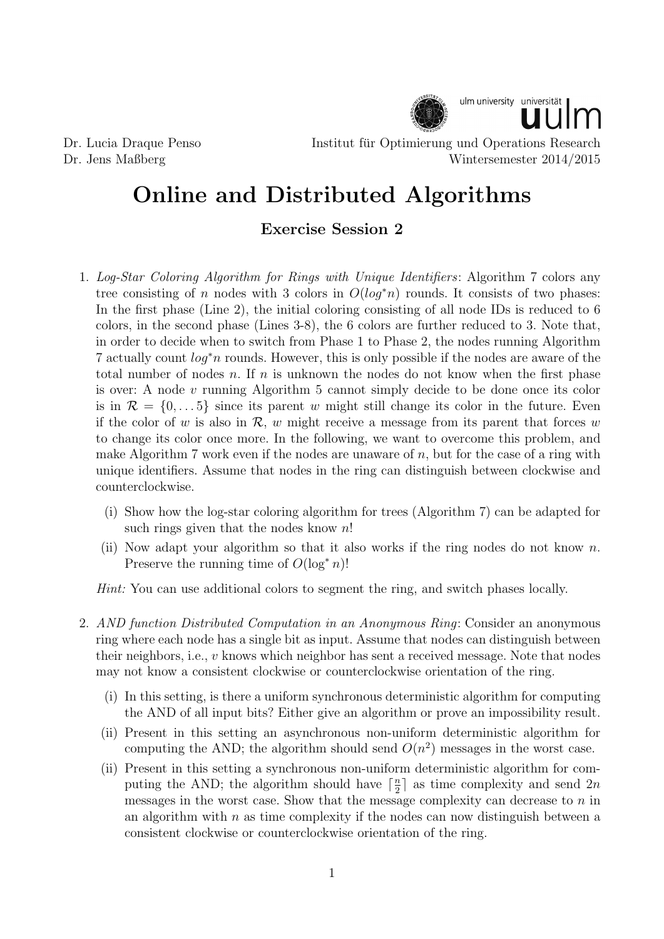

Dr. Lucia Draque Penso Institut fur Optimierung und Operations Research ¨ Dr. Jens Maßberg Wintersemester 2014/2015

## Online and Distributed Algorithms

## Exercise Session 2

- 1. Log-Star Coloring Algorithm for Rings with Unique Identifiers: Algorithm 7 colors any tree consisting of n nodes with 3 colors in  $O(log^*n)$  rounds. It consists of two phases: In the first phase (Line 2), the initial coloring consisting of all node IDs is reduced to 6 colors, in the second phase (Lines 3-8), the 6 colors are further reduced to 3. Note that, in order to decide when to switch from Phase 1 to Phase 2, the nodes running Algorithm 7 actually count log<sup>∗</sup>n rounds. However, this is only possible if the nodes are aware of the total number of nodes  $n$ . If  $n$  is unknown the nodes do not know when the first phase is over: A node v running Algorithm 5 cannot simply decide to be done once its color is in  $\mathcal{R} = \{0, \ldots 5\}$  since its parent w might still change its color in the future. Even if the color of w is also in  $\mathcal{R}$ , w might receive a message from its parent that forces w to change its color once more. In the following, we want to overcome this problem, and make Algorithm 7 work even if the nodes are unaware of  $n$ , but for the case of a ring with unique identifiers. Assume that nodes in the ring can distinguish between clockwise and counterclockwise.
	- (i) Show how the log-star coloring algorithm for trees (Algorithm 7) can be adapted for such rings given that the nodes know  $n!$
	- (ii) Now adapt your algorithm so that it also works if the ring nodes do not know  $n$ . Preserve the running time of  $O(\log^* n)!$

Hint: You can use additional colors to segment the ring, and switch phases locally.

- 2. AND function Distributed Computation in an Anonymous Ring: Consider an anonymous ring where each node has a single bit as input. Assume that nodes can distinguish between their neighbors, i.e.,  $v$  knows which neighbor has sent a received message. Note that nodes may not know a consistent clockwise or counterclockwise orientation of the ring.
	- (i) In this setting, is there a uniform synchronous deterministic algorithm for computing the AND of all input bits? Either give an algorithm or prove an impossibility result.
	- (ii) Present in this setting an asynchronous non-uniform deterministic algorithm for computing the AND; the algorithm should send  $O(n^2)$  messages in the worst case.
	- (ii) Present in this setting a synchronous non-uniform deterministic algorithm for computing the AND; the algorithm should have  $\lceil \frac{n}{2} \rceil$  $\frac{n}{2}$  as time complexity and send 2n messages in the worst case. Show that the message complexity can decrease to  $n$  in an algorithm with  $n$  as time complexity if the nodes can now distinguish between a consistent clockwise or counterclockwise orientation of the ring.